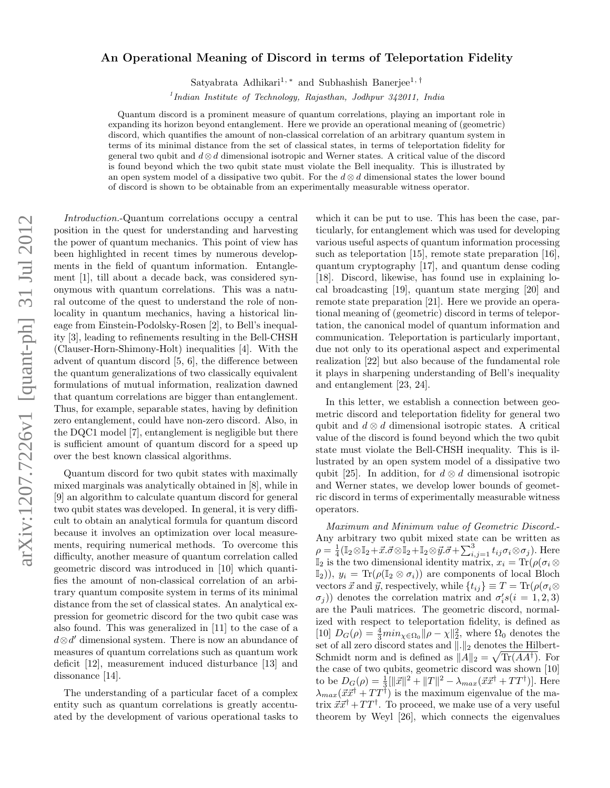## An Operational Meaning of Discord in terms of Teleportation Fidelity

Satyabrata Adhikari<sup>1,\*</sup> and Subhashish Banerjee<sup>1,†</sup>

<sup>1</sup>Indian Institute of Technology, Rajasthan, Jodhpur 342011, India

Quantum discord is a prominent measure of quantum correlations, playing an important role in expanding its horizon beyond entanglement. Here we provide an operational meaning of (geometric) discord, which quantifies the amount of non-classical correlation of an arbitrary quantum system in terms of its minimal distance from the set of classical states, in terms of teleportation fidelity for general two qubit and  $d \otimes d$  dimensional isotropic and Werner states. A critical value of the discord is found beyond which the two qubit state must violate the Bell inequality. This is illustrated by an open system model of a dissipative two qubit. For the  $d \otimes d$  dimensional states the lower bound of discord is shown to be obtainable from an experimentally measurable witness operator.

Introduction.-Quantum correlations occupy a central position in the quest for understanding and harvesting the power of quantum mechanics. This point of view has been highlighted in recent times by numerous developments in the field of quantum information. Entanglement [1], till about a decade back, was considered synonymous with quantum correlations. This was a natural outcome of the quest to understand the role of nonlocality in quantum mechanics, having a historical lineage from Einstein-Podolsky-Rosen [2], to Bell's inequality [3], leading to refinements resulting in the Bell-CHSH (Clauser-Horn-Shimony-Holt) inequalities [4]. With the advent of quantum discord [5, 6], the difference between the quantum generalizations of two classically equivalent formulations of mutual information, realization dawned that quantum correlations are bigger than entanglement. Thus, for example, separable states, having by definition zero entanglement, could have non-zero discord. Also, in the DQC1 model [7], entanglement is negligible but there is sufficient amount of quantum discord for a speed up over the best known classical algorithms.

Quantum discord for two qubit states with maximally mixed marginals was analytically obtained in [8], while in [9] an algorithm to calculate quantum discord for general two qubit states was developed. In general, it is very difficult to obtain an analytical formula for quantum discord because it involves an optimization over local measurements, requiring numerical methods. To overcome this difficulty, another measure of quantum correlation called geometric discord was introduced in [10] which quantifies the amount of non-classical correlation of an arbitrary quantum composite system in terms of its minimal distance from the set of classical states. An analytical expression for geometric discord for the two qubit case was also found. This was generalized in [11] to the case of a d⊗d ′ dimensional system. There is now an abundance of measures of quantum correlations such as quantum work deficit [12], measurement induced disturbance [13] and dissonance [14].

The understanding of a particular facet of a complex entity such as quantum correlations is greatly accentuated by the development of various operational tasks to

which it can be put to use. This has been the case, particularly, for entanglement which was used for developing various useful aspects of quantum information processing such as teleportation [15], remote state preparation [16], quantum cryptography [17], and quantum dense coding [18]. Discord, likewise, has found use in explaining local broadcasting [19], quantum state merging [20] and remote state preparation [21]. Here we provide an operational meaning of (geometric) discord in terms of teleportation, the canonical model of quantum information and communication. Teleportation is particularly important, due not only to its operational aspect and experimental realization [22] but also because of the fundamental role it plays in sharpening understanding of Bell's inequality and entanglement [23, 24].

In this letter, we establish a connection between geometric discord and teleportation fidelity for general two qubit and  $d \otimes d$  dimensional isotropic states. A critical value of the discord is found beyond which the two qubit state must violate the Bell-CHSH inequality. This is illustrated by an open system model of a dissipative two qubit [25]. In addition, for  $d \otimes d$  dimensional isotropic and Werner states, we develop lower bounds of geometric discord in terms of experimentally measurable witness operators.

Maximum and Minimum value of Geometric Discord.- Any arbitrary two qubit mixed state can be written as  $\rho = \frac{1}{4} (\mathbb{I}_2 \otimes \mathbb{I}_2 + \vec{x}.\vec{\sigma} \otimes \mathbb{I}_2 + \mathbb{I}_2 \otimes \vec{y}.\vec{\sigma} + \sum_{i,j=1}^3 t_{ij} \sigma_i \otimes \sigma_j).$  Here  $\mathbb{I}_2$  is the two dimensional identity matrix,  $x_i = \text{Tr}(\rho(\sigma_i \otimes$  $\mathbb{I}_2$ ),  $y_i = \text{Tr}(\rho(\mathbb{I}_2 \otimes \sigma_i))$  are components of local Bloch vectors  $\vec{x}$  and  $\vec{y}$ , respectively, while  $\{t_{ij}\}\equiv T = \text{Tr}(\rho(\sigma_i \otimes$  $(\sigma_j)$  denotes the correlation matrix and  $\sigma'_i s(i=1,2,3)$ are the Pauli matrices. The geometric discord, normalized with respect to teleportation fidelity, is defined as [10]  $D_G(\rho) = \frac{4}{3} min_{\chi \in \Omega_0} ||\rho - \chi||_2^2$ , where  $\Omega_0$  denotes the set of all zero discord states and  $\|.\|_2$  denotes the Hilbert-Schmidt norm and is defined as  $||A||_2 = \sqrt{\text{Tr}(AA^{\dagger})}$ . For the case of two qubits, geometric discord was shown [10] to be  $D_G(\rho) = \frac{1}{2} [||\vec{x}||^2 + ||T||^2 - \lambda_{max}(\vec{x}\vec{x}^{\dagger} + TT^{\dagger})].$  Here  $\lambda_{max}(\vec{x}\vec{x}^{\dagger} + TT^{\dagger})$  is the maximum eigenvalue of the matrix  $\vec{x}\vec{x}^{\dagger} + TT^{\dagger}$ . To proceed, we make use of a very useful theorem by Weyl [26], which connects the eigenvalues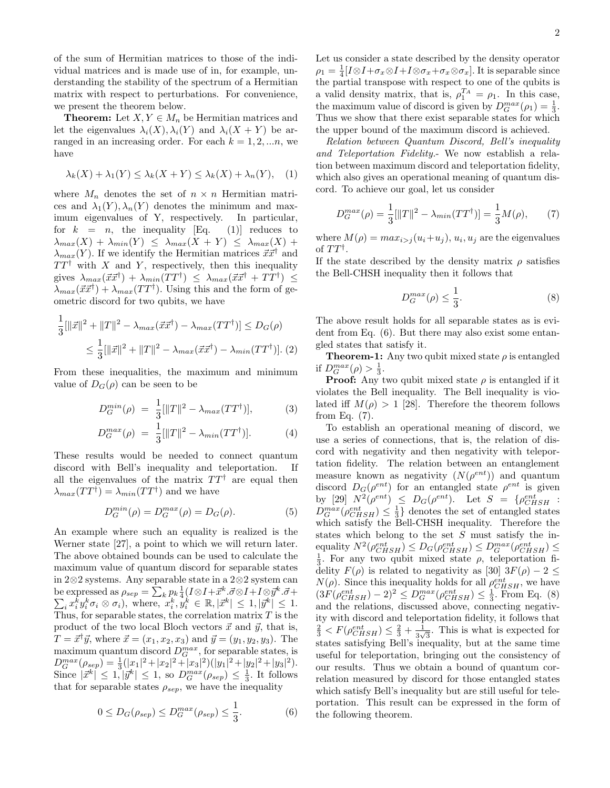of the sum of Hermitian matrices to those of the individual matrices and is made use of in, for example, understanding the stability of the spectrum of a Hermitian matrix with respect to perturbations. For convenience, we present the theorem below.

**Theorem:** Let  $X, Y \in M_n$  be Hermitian matrices and let the eigenvalues  $\lambda_i(X), \lambda_i(Y)$  and  $\lambda_i(X + Y)$  be arranged in an increasing order. For each  $k = 1, 2, \ldots n$ , we have

$$
\lambda_k(X) + \lambda_1(Y) \le \lambda_k(X + Y) \le \lambda_k(X) + \lambda_n(Y), \quad (1)
$$

where  $M_n$  denotes the set of  $n \times n$  Hermitian matrices and  $\lambda_1(Y), \lambda_n(Y)$  denotes the minimum and maximum eigenvalues of Y, respectively. In particular, for  $k = n$ , the inequality [Eq. (1)] reduces to  $\lambda_{max}(X) + \lambda_{min}(Y) \leq \lambda_{max}(X + Y) \leq \lambda_{max}(X) +$  $\lambda_{max}(Y)$ . If we identify the Hermitian matrices  $\vec{x}\vec{x}^{\dagger}$  and  $TT^{\dagger}$  with X and Y, respectively, then this inequality gives  $\lambda_{max}(\vec{x}\vec{x}^{\dagger}) + \lambda_{min}(TT^{\dagger}) \leq \lambda_{max}(\vec{x}\vec{x}^{\dagger} + TT^{\dagger}) \leq$  $\lambda_{max}(\vec{x}\vec{x}^{\dagger}) + \lambda_{max}(TT^{\dagger})$ . Using this and the form of geometric discord for two qubits, we have

$$
\frac{1}{3}[\|\vec{x}\|^2 + \|T\|^2 - \lambda_{max}(\vec{x}\vec{x}^{\dagger}) - \lambda_{max}(TT^{\dagger})] \le D_G(\rho)
$$
  

$$
\le \frac{1}{3}[\|\vec{x}\|^2 + \|T\|^2 - \lambda_{max}(\vec{x}\vec{x}^{\dagger}) - \lambda_{min}(TT^{\dagger})].
$$
 (2)

From these inequalities, the maximum and minimum value of  $D_G(\rho)$  can be seen to be

$$
D_G^{min}(\rho) = \frac{1}{3} [||T||^2 - \lambda_{max}(TT^{\dagger})], \tag{3}
$$

$$
D_G^{max}(\rho) = \frac{1}{3} [||T||^2 - \lambda_{min}(TT^{\dagger})]. \tag{4}
$$

These results would be needed to connect quantum discord with Bell's inequality and teleportation. If all the eigenvalues of the matrix  $TT^{\dagger}$  are equal then  $\lambda_{max}(TT^{\dagger}) = \lambda_{min}(TT^{\dagger})$  and we have

$$
D_G^{min}(\rho) = D_G^{max}(\rho) = D_G(\rho). \tag{5}
$$

An example where such an equality is realized is the Werner state [27], a point to which we will return later. The above obtained bounds can be used to calculate the maximum value of quantum discord for separable states in 2⊗2 systems. Any separable state in a 2⊗2 system can be expressed as  $\rho_{sep} = \sum_k p_k \frac{1}{4} (I \otimes I + \vec{x}^k \cdot \vec{\sigma} \otimes I + I \otimes \vec{y}^k)$  $\sum$ . $\vec{\sigma}+$  $\{x_i^k y_i^k \sigma_i \otimes \sigma_i\},\ \text{where}\ \ x_i^k, y_i^k \in \mathbb{R}, |\vec{x}^k| \leq 1, |\vec{y}^k| \leq 1.$ Thus, for separable states, the correlation matrix  $T$  is the product of the two local Bloch vectors  $\vec{x}$  and  $\vec{y}$ , that is,  $T = \vec{x}^{\dagger} \vec{y}$ , where  $\vec{x} = (x_1, x_2, x_3)$  and  $\vec{y} = (y_1, y_2, y_3)$ . The maximum quantum discord  $D_{G}^{max}$ , for separable states, is  $D_G^{max}(\rho_{sep}) = \frac{1}{3}(|x_1|^2 + |x_2|^2 + |x_3|^2)(|y_1|^2 + |y_2|^2 + |y_3|^2).$ Since  $|\vec{x}^k| \leq 1, |\vec{y}^k| \leq 1$ , so  $D_G^{max}(\rho_{sep}) \leq \frac{1}{3}$ . It follows that for separable states  $\rho_{sep}$ , we have the inequality

$$
0 \le D_G(\rho_{sep}) \le D_G^{max}(\rho_{sep}) \le \frac{1}{3}.
$$
 (6)

Let us consider a state described by the density operator  $\rho_1 = \frac{1}{4} [I \otimes I + \sigma_x \otimes I + I \otimes \sigma_x + \sigma_x \otimes \sigma_x]$ . It is separable since the partial transpose with respect to one of the qubits is a valid density matrix, that is,  $\rho_1^{T_A} = \rho_1$ . In this case, the maximum value of discord is given by  $D_G^{max}(\rho_1) = \frac{1}{3}$ . Thus we show that there exist separable states for which the upper bound of the maximum discord is achieved.

Relation between Quantum Discord, Bell's inequality and Teleportation Fidelity.- We now establish a relation between maximum discord and teleportation fidelity, which also gives an operational meaning of quantum discord. To achieve our goal, let us consider

$$
D_G^{max}(\rho) = \frac{1}{3}[\|T\|^2 - \lambda_{min}(TT^{\dagger})] = \frac{1}{3}M(\rho),\tag{7}
$$

where  $M(\rho) = max_{i > j} (u_i + u_j)$ ,  $u_i, u_j$  are the eigenvalues of  $TT^{\dagger}$ .

If the state described by the density matrix  $\rho$  satisfies the Bell-CHSH inequality then it follows that

$$
D_G^{max}(\rho) \le \frac{1}{3}.\tag{8}
$$

The above result holds for all separable states as is evident from Eq. (6). But there may also exist some entangled states that satisfy it.

**Theorem-1:** Any two qubit mixed state  $\rho$  is entangled if  $D_G^{max}(\rho) > \frac{1}{3}$ .

**Proof:** Any two qubit mixed state  $\rho$  is entangled if it violates the Bell inequality. The Bell inequality is violated iff  $M(\rho) > 1$  [28]. Therefore the theorem follows from Eq.  $(7)$ .

To establish an operational meaning of discord, we use a series of connections, that is, the relation of discord with negativity and then negativity with teleportation fidelity. The relation between an entanglement measure known as negativity  $(N(\rho^{ent}))$  and quantum discord  $D_G(\rho^{ent})$  for an entangled state  $\rho^{ent}$  is given by [29]  $N^2(\rho^{ent}) \leq D_G(\rho^{ent})$ . Let  $S = \{\rho^{ent}_{CHSH} :$  $D_G^{max}(\rho_{CHSH}^{ent}) \leq \frac{1}{3}$  denotes the set of entangled states which satisfy the Bell-CHSH inequality. Therefore the states which belong to the set  $S$  must satisfy the inequality  $N^2(\rho_{CHSH}^{ent}) \leq D_G(\rho_{CHSH}^{ent}) \leq D_G^{max}(\rho_{CHSH}^{ent}) \leq$  $\frac{1}{3}$ . For any two qubit mixed state  $\rho$ , teleportation fidelity  $F(\rho)$  is related to negativity as [30]  $3F(\rho) - 2 \leq$  $N(\rho)$ . Since this inequality holds for all  $\rho_{CHSH}^{ent}$ , we have  $(3F(\rho_{CHSH}^{ent}) - 2)^2 \leq D_G^{max}(\rho_{CHSH}^{ent}) \leq \frac{1}{3}$ . From Eq. (8) and the relations, discussed above, connecting negativity with discord and teleportation fidelity, it follows that  $\frac{2}{3}$  <  $F(\rho_{CHSH}^{ent}) \leq \frac{2}{3} + \frac{1}{3\sqrt{3}}$  $\frac{1}{3\sqrt{3}}$ . This is what is expected for states satisfying Bell's inequality, but at the same time useful for teleportation, bringing out the consistency of our results. Thus we obtain a bound of quantum correlation measured by discord for those entangled states which satisfy Bell's inequality but are still useful for teleportation. This result can be expressed in the form of the following theorem.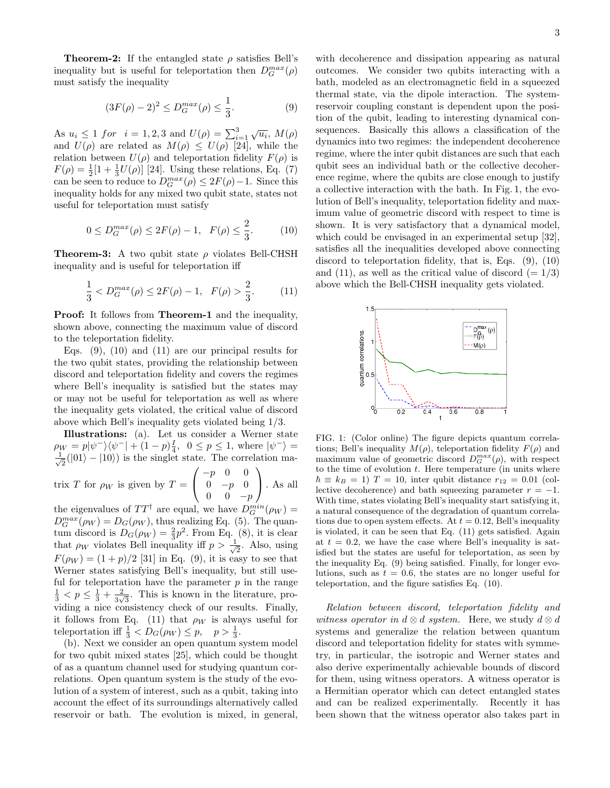**Theorem-2:** If the entangled state  $\rho$  satisfies Bell's inequality but is useful for teleportation then  $D_G^{max}(\rho)$ must satisfy the inequality

$$
(3F(\rho) - 2)^2 \le D_G^{max}(\rho) \le \frac{1}{3}.
$$
 (9)

As  $u_i \le 1$  for  $i = 1, 2, 3$  and  $U(\rho) = \sum_{i=1}^{3} \sqrt{u_i}$ ,  $M(\rho)$ and  $U(\rho)$  are related as  $M(\rho) \leq U(\rho)$  [24], while the relation between  $U(\rho)$  and teleportation fidelity  $F(\rho)$  is  $F(\rho) = \frac{1}{2} [1 + \frac{1}{3} U(\rho)]$  [24]. Using these relations, Eq. (7) can be seen to reduce to  $D_G^{max}(\rho) \leq 2F(\rho) - 1$ . Since this inequality holds for any mixed two qubit state, states not useful for teleportation must satisfy

$$
0 \le D_G^{\max}(\rho) \le 2F(\rho) - 1, \ \ F(\rho) \le \frac{2}{3}.
$$
 (10)

**Theorem-3:** A two qubit state  $\rho$  violates Bell-CHSH inequality and is useful for teleportation iff

$$
\frac{1}{3} < D_G^{max}(\rho) \le 2F(\rho) - 1, \quad F(\rho) > \frac{2}{3}.\tag{11}
$$

Proof: It follows from Theorem-1 and the inequality, shown above, connecting the maximum value of discord to the teleportation fidelity.

Eqs. (9), (10) and (11) are our principal results for the two qubit states, providing the relationship between discord and teleportation fidelity and covers the regimes where Bell's inequality is satisfied but the states may or may not be useful for teleportation as well as where the inequality gets violated, the critical value of discord above which Bell's inequality gets violated being 1/3.

Illustrations: (a). Let us consider a Werner state  $\rho_W = p|\psi^-\rangle\langle\psi^-| + (1-p)\frac{I}{4}, \ \ 0 \leq p \leq 1, \text{ where } |\psi^-\rangle =$  $\frac{1}{\sqrt{2}}$  $\frac{1}{2}(|01\rangle - |10\rangle)$  is the singlet state. The correlation ma- $\int -p \quad 0 \quad 0$  $\begin{matrix} 0 \end{matrix}$ 

trix T for 
$$
\rho_W
$$
 is given by  $T = \begin{pmatrix} 0 & -p & 0 \\ 0 & 0 & -p \end{pmatrix}$ . As all

the eigenvalues of  $TT^{\dagger}$  are equal, we have  $D_G^{min}(\rho_W)$  =  $D_G^{max}(\rho_W) = D_G(\rho_W)$ , thus realizing Eq. (5). The quantum discord is  $D_G(\rho_W) = \frac{2}{3}p^2$ . From Eq. (8), it is clear that  $\rho_W$  violates Bell inequality iff  $p > \frac{1}{\sqrt{2}}$  $\frac{1}{2}$ . Also, using  $F(\rho_W) = (1 + p)/2$  [31] in Eq. (9), it is easy to see that Werner states satisfying Bell's inequality, but still useful for teleportation have the parameter p in the range  $\frac{1}{3} < p \leq \frac{1}{3} + \frac{2}{3\sqrt{3}}$ . This is known in the literature, pro- $\frac{2}{3\sqrt{3}}$ . This is known in the literature, providing a nice consistency check of our results. Finally, it follows from Eq. (11) that  $\rho_W$  is always useful for teleportation iff  $\frac{1}{3}$  <  $D_G(\rho_W) \leq p$ ,  $p > \frac{1}{3}$ .

(b). Next we consider an open quantum system model for two qubit mixed states [25], which could be thought of as a quantum channel used for studying quantum correlations. Open quantum system is the study of the evolution of a system of interest, such as a qubit, taking into account the effect of its surroundings alternatively called reservoir or bath. The evolution is mixed, in general,

with decoherence and dissipation appearing as natural outcomes. We consider two qubits interacting with a bath, modeled as an electromagnetic field in a squeezed thermal state, via the dipole interaction. The systemreservoir coupling constant is dependent upon the position of the qubit, leading to interesting dynamical consequences. Basically this allows a classification of the dynamics into two regimes: the independent decoherence regime, where the inter qubit distances are such that each qubit sees an individual bath or the collective decoherence regime, where the qubits are close enough to justify a collective interaction with the bath. In Fig. 1, the evolution of Bell's inequality, teleportation fidelity and maximum value of geometric discord with respect to time is shown. It is very satisfactory that a dynamical model, which could be envisaged in an experimental setup [32], satisfies all the inequalities developed above connecting discord to teleportation fidelity, that is, Eqs. (9), (10) and (11), as well as the critical value of discord  $(= 1/3)$ above which the Bell-CHSH inequality gets violated.



FIG. 1: (Color online) The figure depicts quantum correlations; Bell's inequality  $M(\rho)$ , teleportation fidelity  $F(\rho)$  and maximum value of geometric discord  $D_G^{max}(\rho)$ , with respect to the time of evolution  $t$ . Here temperature (in units where  $\hbar \equiv k_B = 1$ )  $T = 10$ , inter qubit distance  $r_{12} = 0.01$  (collective decoherence) and bath squeezing parameter  $r = -1$ . With time, states violating Bell's inequality start satisfying it, a natural consequence of the degradation of quantum correlations due to open system effects. At  $t = 0.12$ , Bell's inequality is violated, it can be seen that Eq. (11) gets satisfied. Again at  $t = 0.2$ , we have the case where Bell's inequality is satisfied but the states are useful for teleportation, as seen by the inequality Eq. (9) being satisfied. Finally, for longer evolutions, such as  $t = 0.6$ , the states are no longer useful for teleportation, and the figure satisfies Eq. (10).

Relation between discord, teleportation fidelity and witness operator in  $d \otimes d$  system. Here, we study  $d \otimes d$ systems and generalize the relation between quantum discord and teleportation fidelity for states with symmetry, in particular, the isotropic and Werner states and also derive experimentally achievable bounds of discord for them, using witness operators. A witness operator is a Hermitian operator which can detect entangled states and can be realized experimentally. Recently it has been shown that the witness operator also takes part in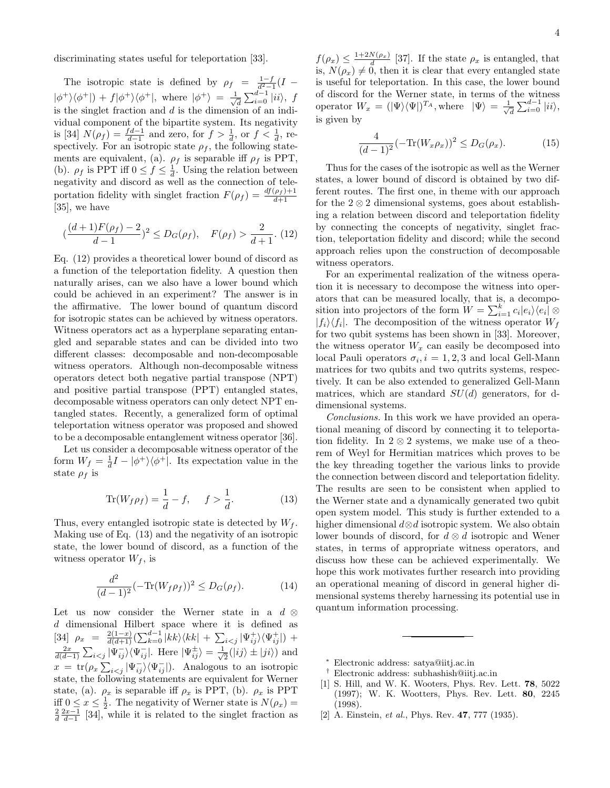discriminating states useful for teleportation [33].

The isotropic state is defined by  $\rho_f = \frac{1-f}{d^2-1}(I |\phi^{+}\rangle\langle\phi^{+}|$  +  $f|\phi^{+}\rangle\langle\phi^{+}|$ , where  $|\phi^{+}\rangle = \frac{1}{\sqrt{2}}$  $\frac{1}{d}\sum_{i=0}^{d-1}|ii\rangle, f$ is the singlet fraction and  $d$  is the dimension of an individual component of the bipartite system. Its negativity is [34]  $N(\rho_f) = \frac{fd-1}{d-1}$  and zero, for  $f > \frac{1}{d}$ , or  $f < \frac{1}{d}$ , respectively. For an isotropic state  $\rho_f$ , the following statements are equivalent, (a).  $\rho_f$  is separable iff  $\rho_f$  is PPT, (b).  $\rho_f$  is PPT iff  $0 \le f \le \frac{1}{d}$ . Using the relation between negativity and discord as well as the connection of teleportation fidelity with singlet fraction  $F(\rho_f) = \frac{df(\rho_f)+1}{d+1}$ [35], we have

$$
\left(\frac{(d+1)F(\rho_f)-2}{d-1}\right)^2 \le D_G(\rho_f), \quad F(\rho_f) > \frac{2}{d+1}.\tag{12}
$$

Eq. (12) provides a theoretical lower bound of discord as a function of the teleportation fidelity. A question then naturally arises, can we also have a lower bound which could be achieved in an experiment? The answer is in the affirmative. The lower bound of quantum discord for isotropic states can be achieved by witness operators. Witness operators act as a hyperplane separating entangled and separable states and can be divided into two different classes: decomposable and non-decomposable witness operators. Although non-decomposable witness operators detect both negative partial transpose (NPT) and positive partial transpose (PPT) entangled states, decomposable witness operators can only detect NPT entangled states. Recently, a generalized form of optimal teleportation witness operator was proposed and showed to be a decomposable entanglement witness operator [36].

Let us consider a decomposable witness operator of the form  $W_f = \frac{1}{d}I - |\phi^+\rangle\langle\phi^+|$ . Its expectation value in the state  $\rho_f$  is

$$
\text{Tr}(W_f \rho_f) = \frac{1}{d} - f, \quad f > \frac{1}{d}.
$$
 (13)

Thus, every entangled isotropic state is detected by  $W_f$ . Making use of Eq. (13) and the negativity of an isotropic state, the lower bound of discord, as a function of the witness operator  $W_f$ , is

$$
\frac{d^2}{(d-1)^2}(-\text{Tr}(W_f \rho_f))^2 \le D_G(\rho_f). \tag{14}
$$

Let us now consider the Werner state in a  $d \otimes$ d dimensional Hilbert space where it is defined as  $[34]$   $\rho_x = \frac{2(1-x)}{d(d+1)} (\sum_{k=0}^{d-1} |kk\rangle\langle kk| + \sum_{i < j} |\Psi_{ij}^{+}\rangle\langle \Psi_{ij}^{+}|) +$  $\frac{2x}{d(d-1)}\sum_{i Here  $|\Psi_{ij}^{\pm}\rangle=\frac{1}{\sqrt{2}}$$  $\frac{1}{2}(|ij\rangle \pm |ji\rangle)$  and  $x = \text{tr}(\rho_x \sum_{i < j} |\Psi_{ij}^{-}\rangle \langle \Psi_{ij}^{-}|).$  Analogous to an isotropic state, the following statements are equivalent for Werner state, (a).  $\rho_x$  is separable iff  $\rho_x$  is PPT, (b).  $\rho_x$  is PPT iff  $0 \leq x \leq \frac{1}{2}$ . The negativity of Werner state is  $N(\rho_x) =$  $\frac{2}{d} \frac{2x-1}{d-1}$  [34], while it is related to the singlet fraction as

 $f(\rho_x) \leq \frac{1+2N(\rho_x)}{d}$  [37]. If the state  $\rho_x$  is entangled, that is,  $N(\rho_x) \neq 0$ , then it is clear that every entangled state is useful for teleportation. In this case, the lower bound of discord for the Werner state, in terms of the witness operator  $W_x = (|\Psi\rangle\langle\Psi|)^{T_A}$ , where  $|\Psi\rangle = \frac{1}{\sqrt{2\pi}}$  $\frac{1}{d}\sum_{i=0}^{d-1}|ii\rangle,$ is given by

$$
\frac{4}{(d-1)^2}(-\text{Tr}(W_x \rho_x))^2 \le D_G(\rho_x). \tag{15}
$$

Thus for the cases of the isotropic as well as the Werner states, a lower bound of discord is obtained by two different routes. The first one, in theme with our approach for the  $2 \otimes 2$  dimensional systems, goes about establishing a relation between discord and teleportation fidelity by connecting the concepts of negativity, singlet fraction, teleportation fidelity and discord; while the second approach relies upon the construction of decomposable witness operators.

For an experimental realization of the witness operation it is necessary to decompose the witness into operators that can be measured locally, that is, a decomposition into projectors of the form  $W = \sum_{i=1}^{k} c_i |e_i\rangle\langle e_i| \otimes$  $|f_i\rangle\langle f_i|$ . The decomposition of the witness operator  $W_f$ for two qubit systems has been shown in [33]. Moreover, the witness operator  $W_x$  can easily be decomposed into local Pauli operators  $\sigma_i$ ,  $i = 1, 2, 3$  and local Gell-Mann matrices for two qubits and two qutrits systems, respectively. It can be also extended to generalized Gell-Mann matrices, which are standard  $SU(d)$  generators, for ddimensional systems.

Conclusions. In this work we have provided an operational meaning of discord by connecting it to teleportation fidelity. In  $2 \otimes 2$  systems, we make use of a theorem of Weyl for Hermitian matrices which proves to be the key threading together the various links to provide the connection between discord and teleportation fidelity. The results are seen to be consistent when applied to the Werner state and a dynamically generated two qubit open system model. This study is further extended to a higher dimensional d⊗d isotropic system. We also obtain lower bounds of discord, for  $d \otimes d$  isotropic and Wener states, in terms of appropriate witness operators, and discuss how these can be achieved experimentally. We hope this work motivates further research into providing an operational meaning of discord in general higher dimensional systems thereby harnessing its potential use in quantum information processing.

- † Electronic address: subhashish@iitj.ac.in
- [1] S. Hill, and W. K. Wooters, Phys. Rev. Lett. 78, 5022 (1997); W. K. Wootters, Phys. Rev. Lett. 80, 2245 (1998).
- [2] A. Einstein, *et al.*, Phys. Rev. **47**, 777 (1935).

<sup>∗</sup> Electronic address: satya@iitj.ac.in